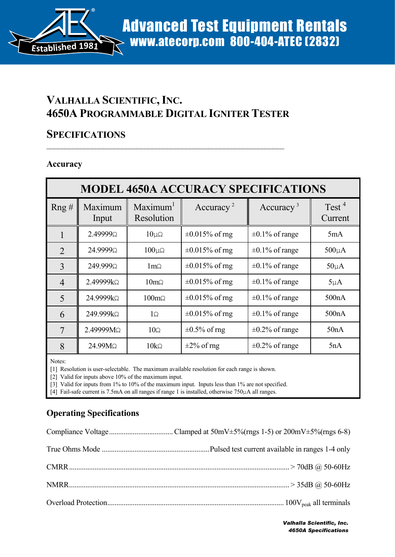

# **VALHALLA SCIENTIFIC,INC. 4650A PROGRAMMABLE DIGITAL IGNITER TESTER**

 $\mathcal{L}_\text{max}$  , and the contribution of the contribution of the contribution of the contribution of the contribution of the contribution of the contribution of the contribution of the contribution of the contribution of t

### **SPECIFICATIONS**

#### **Accuracy**

| <b>MODEL 4650A ACCURACY SPECIFICATIONS</b> |                  |                                    |                       |                       |                              |  |  |
|--------------------------------------------|------------------|------------------------------------|-----------------------|-----------------------|------------------------------|--|--|
| Rng#                                       | Maximum<br>Input | Maximum <sup>1</sup><br>Resolution | Accuracy <sup>2</sup> | Accuracy <sup>3</sup> | Test <sup>4</sup><br>Current |  |  |
| 1                                          | 2.49999Ω         | $10\mu\Omega$                      | $\pm 0.015\%$ of rng  | $\pm 0.1\%$ of range  | 5mA                          |  |  |
| $\mathfrak{D}$                             | 24.9999Ω         | $100\mu\Omega$                     | $\pm 0.015\%$ of rng  | $\pm 0.1\%$ of range  | $500\mu A$                   |  |  |
| 3                                          | 249.999Ω         | $1 \text{m}\Omega$                 | $\pm 0.015\%$ of rng  | $\pm 0.1\%$ of range  | $50\mu A$                    |  |  |
| $\overline{4}$                             | $2.49999k\Omega$ | $10 \text{m}\Omega$                | $\pm 0.015\%$ of mg   | $\pm 0.1\%$ of range  | $5\mu A$                     |  |  |
| 5                                          | 24.9999kΩ        | $100 \text{m}\Omega$               | $\pm 0.015\%$ of rng  | $\pm 0.1\%$ of range  | 500nA                        |  |  |
| 6                                          | 249.999kΩ        | $1\Omega$                          | $\pm 0.015\%$ of mg   | $\pm 0.1\%$ of range  | 500nA                        |  |  |
| 7                                          | 2.49999MΩ        | $10\Omega$                         | $\pm 0.5\%$ of rng    | $\pm 0.2\%$ of range  | 50nA                         |  |  |
| 8                                          | 24.99MΩ          | $10k\Omega$                        | $\pm 2\%$ of rng      | $\pm 0.2\%$ of range  | 5nA                          |  |  |

Notes:

[1] Resolution is user-selectable. The maximum available resolution for each range is shown.

[2] Valid for inputs above 10% of the maximum input.

[3] Valid for inputs from 1% to 10% of the maximum input. Inputs less than 1% are not specified.

[4] Fail-safe current is 7.5mA on all ranges if range 1 is installed, otherwise 750µA all ranges.

### **Operating Specifications**

*Valhalla Scientific, Inc. 4650A Specifications*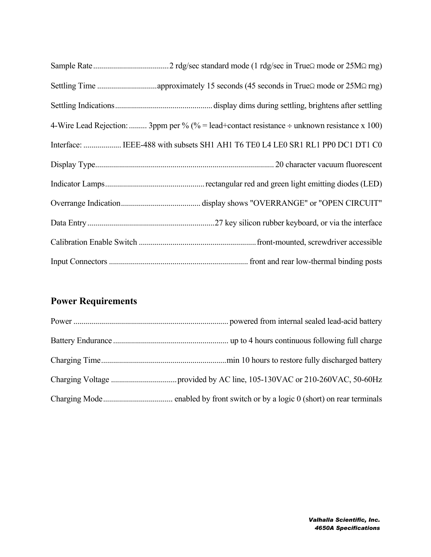| 4-Wire Lead Rejection:  3ppm per % (% = lead+contact resistance $\div$ unknown resistance x 100) |
|--------------------------------------------------------------------------------------------------|
| Interface:  IEEE-488 with subsets SH1 AH1 T6 TE0 L4 LE0 SR1 RL1 PP0 DC1 DT1 C0                   |
|                                                                                                  |
|                                                                                                  |
|                                                                                                  |
|                                                                                                  |
|                                                                                                  |
|                                                                                                  |

## **Power Requirements**